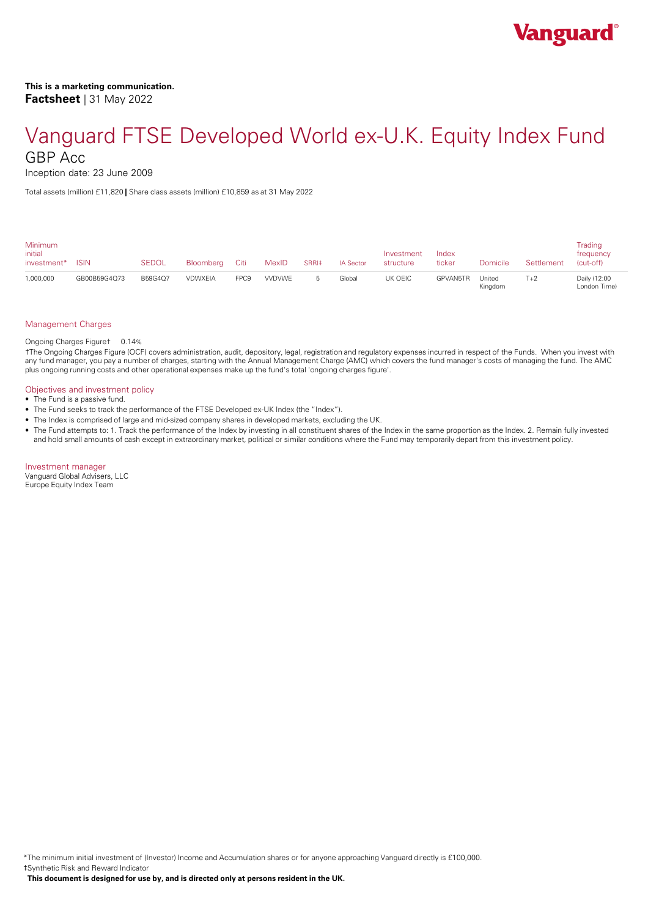Inception date: 23 June 2009

Total assets (million) £11,820 **|** Share class assets (million) £10,859 as at 31 May 2022

| <b>Minimum</b><br>initial<br>investment* | <b>ISIN</b>  | <b>SEDOL</b> | Bloomberg Citi |                  | MexID        | SRRI‡ | <b>IA Sector</b> | Investment<br>structure | Index<br>ticker | <b>Domicile</b>   | Settlement | Trading<br>frequency<br>(cut-off) |
|------------------------------------------|--------------|--------------|----------------|------------------|--------------|-------|------------------|-------------------------|-----------------|-------------------|------------|-----------------------------------|
| 1,000,000                                | GB00B59G4Q73 | B59G4Q7      | VDWXEIA        | FPC <sub>9</sub> | <b>WDVWE</b> |       | Global           | UK OEIC                 | GPVAN5TR        | United<br>Kingdom | $T+2$      | Daily (12:00<br>London Time)      |

#### Management Charges

Ongoing Charges Figure† 0.14%

†The Ongoing Charges Figure (OCF) covers administration, audit, depository, legal, registration and regulatory expenses incurred in respect of the Funds. When you invest with any fund manager, you pay a number of charges, starting with the Annual Management Charge (AMC) which covers the fund manager's costs of managing the fund. The AMC plus ongoing running costs and other operational expenses make up the fund's total 'ongoing charges figure'.

#### Objectives and investment policy

- The Fund is a passive fund.
- The Fund seeks to track the performance of the FTSE Developed ex-UK Index (the "Index").
- The Index is comprised of large and mid-sized company shares in developed markets, excluding the UK.
- The Fund attempts to: 1. Track the performance of the Index by investing in all constituent shares of the Index in the same proportion as the Index. 2. Remain fully invested and hold small amounts of cash except in extraordinary market, political or similar conditions where the Fund may temporarily depart from this investment policy.

#### Investment manager

Vanguard Global Advisers, LLC Europe Equity Index Team

\*The minimum initial investment of (Investor) Income and Accumulation shares or for anyone approaching Vanguard directly is £100,000. ‡Synthetic Risk and Reward Indicator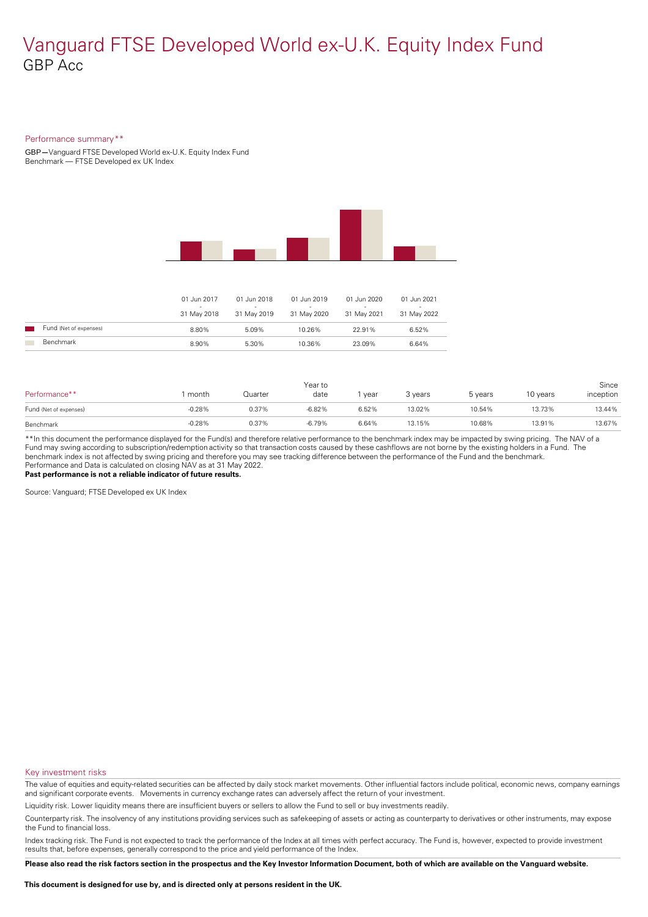### Performance summary\*\*

GBP**—**Vanguard FTSE Developed World ex-U.K. Equity Index Fund Benchmark — FTSE Developed ex UK Index



|                        | 01 Jun 2017<br>31 May 2018 | 01 Jun 2018<br>$\sim$<br>31 May 2019 | 01 Jun 2019<br>-<br>31 May 2020 | 01 Jun 2020<br>$\sim$<br>31 May 2021 | 01 Jun 2021<br>-<br>31 May 2022 |
|------------------------|----------------------------|--------------------------------------|---------------------------------|--------------------------------------|---------------------------------|
| Fund (Net of expenses) | 8.80%                      | 5.09%                                | 10.26%                          | 22.91%                               | 6.52%                           |
| Benchmark              | 8.90%                      | 5.30%                                | 10.36%                          | 23.09%                               | 6.64%                           |

| Performance**          | month    | Quarter | Year to<br>date | year  | 3 years | 5 years | 10 years | Since<br>inception |
|------------------------|----------|---------|-----------------|-------|---------|---------|----------|--------------------|
| Fund (Net of expenses) | $-0.28%$ | 0.37%   | $-6.82%$        | 6.52% | 13.02%  | 10.54%  | 13.73%   | 13.44%             |
| Benchmark              | $-0.28%$ | 0.37%   | $-6.79%$        | 6.64% | 13.15%  | 10.68%  | 13.91%   | 13.67%             |

\*\*In this document the performance displayed for the Fund(s) and therefore relative performance to the benchmark index may be impacted by swing pricing. The NAV of a Fund may swing according to subscription/redemption activity so that transaction costs caused by these cashflows are notborne by the existing holders in a Fund. The benchmark index is not affected by swing pricing and therefore you may see tracking difference between the performance of the Fund and the benchmark. Performance and Data is calculated on closing NAV as at 31 May 2022. **Past performance is not a reliable indicator of future results.**

Source: Vanguard; FTSE Developed ex UK Index

#### Key investment risks

The value of equities and equity-related securities can be affected by daily stock market movements. Other influential factors include political, economic news, company earnings and significant corporate events. Movements in currency exchange rates can adversely affect the return of your investment.

Liquidity risk. Lower liquidity means there are insufficient buyers or sellers to allow the Fund to sell or buy investments readily.

Counterparty risk. The insolvency ofany institutions providing services such as safekeeping of assets or acting as counterparty to derivatives or other instruments, may expose the Fund to financial loss.

Index tracking risk.The Fund is not expected to track the performance of the Index at all times with perfect accuracy. The Fund is, however, expected to provide investment results that, before expenses, generally correspond to the price and yield performance of the Index.

Please also read the risk factors section in the prospectus and the Key Investor Information Document, both of which are available on the Vanguard website.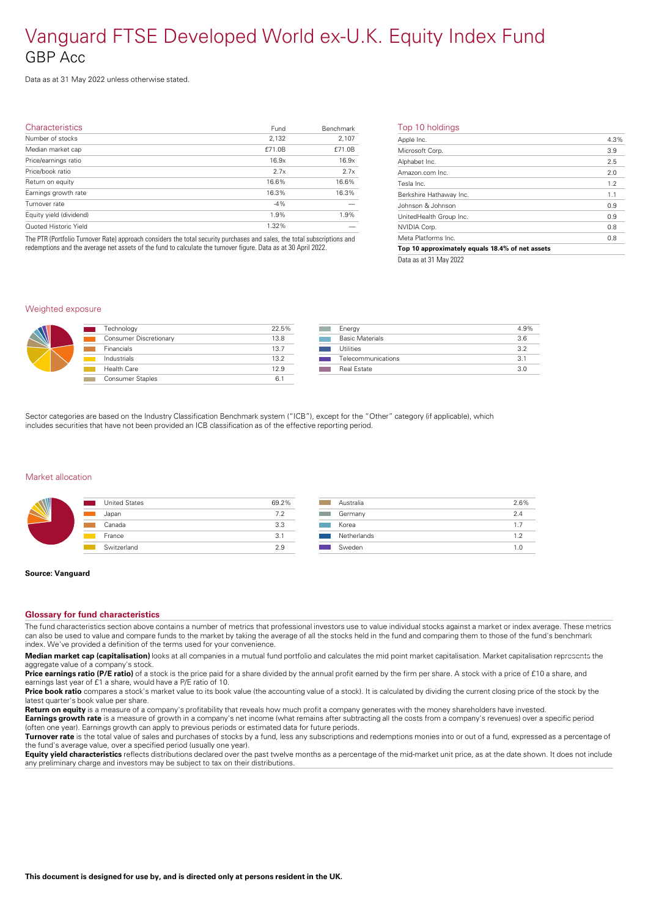Data as at 31 May 2022 unless otherwise stated.

| Characteristics         | Fund   | Benchmark | т              |
|-------------------------|--------|-----------|----------------|
| Number of stocks        | 2,132  | 2,107     | A              |
| Median market cap       | £71.0B | £71.0B    | M              |
| Price/earnings ratio    | 16.9x  | 16.9x     | $\overline{A}$ |
| Price/book ratio        | 2.7x   | 2.7x      | $\overline{A}$ |
| Return on equity        | 16.6%  | 16.6%     | Tε             |
| Earnings growth rate    | 16.3%  | 16.3%     | B              |
| Turnover rate           | $-4%$  |           | Jc             |
| Equity yield (dividend) | 1.9%   | 1.9%      | U              |
| Quoted Historic Yield   | 1.32%  |           | N              |
|                         |        |           |                |

The PTR (Portfolio Turnover Rate) approach considers the total security purchases and sales, the total subscriptions and redemptions and the average net assets of the fund to calculate the turnover figure. Data as at 30 April 2022.

|  | Top 10 holdings |  |
|--|-----------------|--|
|  |                 |  |

| Apple Inc.                                      | 4.3% |
|-------------------------------------------------|------|
| Microsoft Corp.                                 | 3.9  |
| Alphabet Inc.                                   | 2.5  |
| Amazon.com Inc.                                 | 2.0  |
| Tesla Inc.                                      | 1.2  |
| Berkshire Hathaway Inc.                         | 1.1  |
| Johnson & Johnson                               | 0.9  |
| UnitedHealth Group Inc.                         | 0.9  |
| NVIDIA Corp.                                    | 0.8  |
| Meta Platforms Inc.                             | 0.8  |
| Top 10 approximately equals 18.4% of net assets |      |
|                                                 |      |

Data as at 31 May 2022

### Weighted exposure



| Technology              | 22.5% |  |
|-------------------------|-------|--|
| Consumer Discretionary  | 13.8  |  |
| Financials              | 13.7  |  |
| Industrials             | 13.2  |  |
| Health Care             | 12.9  |  |
| <b>Consumer Staples</b> | 6.1   |  |

| Energy                 | 4.9% |
|------------------------|------|
| <b>Basic Materials</b> | 3.6  |
| Utilities              | 39   |
| Telecommunications     | 31   |
| Real Estate            | 30   |
|                        |      |

Sector categories are based on the Industry Classification Benchmark system ("ICB"), except for the "Other" category (if applicable), which includes securities that have not been provided an ICB classification as of the effective reporting period.

#### Market allocation

| <b>United States</b><br>$\mathcal{L}(\mathcal{L})$ | 69.2% |  |
|----------------------------------------------------|-------|--|
| Japan                                              | 7.2   |  |
| Canada                                             | 3.3   |  |
| France                                             | 3.1   |  |
| Switzerland                                        | 2.9   |  |
|                                                    |       |  |

| Australia<br>2.6%<br>Germany<br>2.4<br>Korea<br>1.7<br>Netherlands<br>1.2<br>Sweden<br>1.0 |
|--------------------------------------------------------------------------------------------|
|                                                                                            |
|                                                                                            |
|                                                                                            |
|                                                                                            |
|                                                                                            |

#### **Source: Vanguard**

#### **Glossary for fund characteristics**

The fund characteristics section above contains a number of metrics that professional investors use to value individual stocks against a market or index average. These metrics can also be used to value and compare funds to the market by taking the average of all the stocks held in the fund and comparing them to those of the fund's benchmark index. We've provided a definition of the terms used for your convenience.

**Median market cap (capitalisation)** looks at all companies in a mutual fund portfolio and calculates the mid point market capitalisation. Market capitalisation represents the aggregate value of a company's stock.

Price earnings ratio (P/E ratio) of a stock is the price paid for a share divided by the annual profit earned by the firm per share. A stock with a price of £10 a share, and earnings last year of £1 a share, would have a P/E ratio of 10.

**Price book ratio** compares a stock's market value to its book value (the accounting value of a stock). It is calculated by dividing the current closing price of the stock by the latest quarter's book value pershare.

**Return on equity** is a measure of a company's profitability that reveals how much profit a company generates with the money shareholders have invested.

**Earnings growth rate** is a measure of growth in a company's net income (what remains after subtracting all the costs from a company's revenues) over a specific period (often one year). Earnings growth can apply to previous periods or estimated data for future periods.

**Turnover rate** is the total value of sales and purchases of stocks by a fund, less any subscriptions and redemptions monies into or out of a fund, expressed as a percentage of the fund's average value, over a specified period (usually one year).

**Equity yield characteristics** reflects distributions declared over the past twelve months as a percentage of the mid-market unit price, as at the date shown. It does not include any preliminary charge and investors may be subject to tax on their distributions.